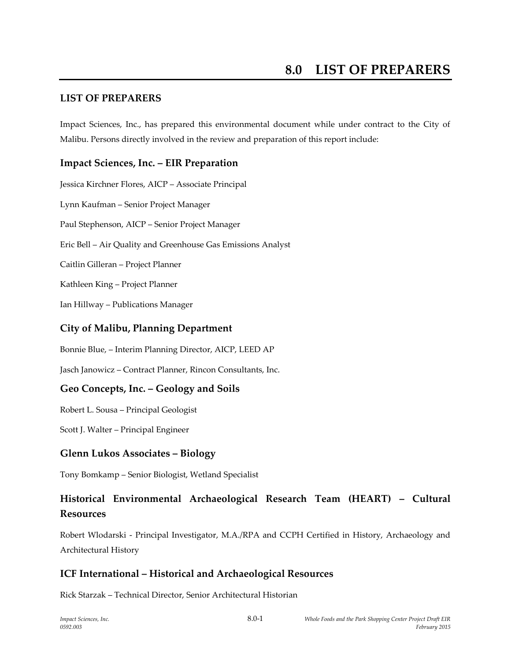#### **LIST OF PREPARERS**

Impact Sciences, Inc., has prepared this environmental document while under contract to the City of Malibu. Persons directly involved in the review and preparation of this report include:

#### **Impact Sciences, Inc. – EIR Preparation**

Jessica Kirchner Flores, AICP – Associate Principal Lynn Kaufman – Senior Project Manager Paul Stephenson, AICP – Senior Project Manager Eric Bell – Air Quality and Greenhouse Gas Emissions Analyst Caitlin Gilleran – Project Planner Kathleen King – Project Planner Ian Hillway – Publications Manager

#### **City of Malibu, Planning Department**

Bonnie Blue, – Interim Planning Director, AICP, LEED AP

Jasch Janowicz – Contract Planner, Rincon Consultants, Inc.

#### **Geo Concepts, Inc. – Geology and Soils**

Robert L. Sousa – Principal Geologist

Scott J. Walter – Principal Engineer

#### **Glenn Lukos Associates – Biology**

Tony Bomkamp – Senior Biologist, Wetland Specialist

# **Historical Environmental Archaeological Research Team (HEART) – Cultural Resources**

Robert Wlodarski - Principal Investigator, M.A./RPA and CCPH Certified in History, Archaeology and Architectural History

### **ICF International – Historical and Archaeological Resources**

Rick Starzak – Technical Director, Senior Architectural Historian